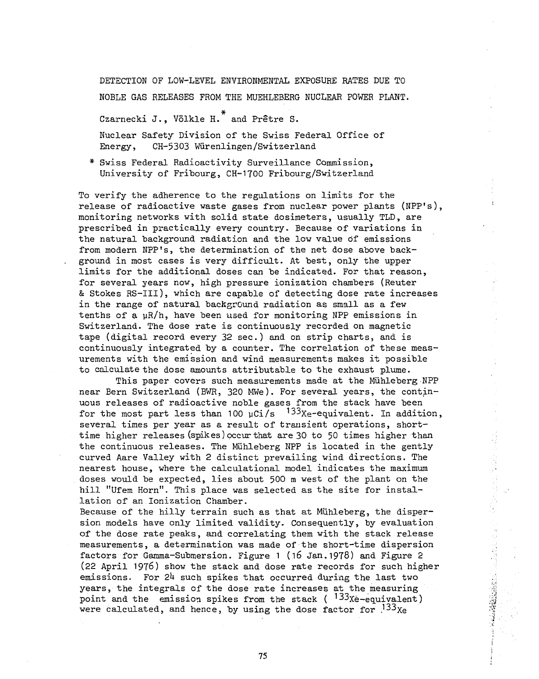DETECTION OF LOW-LEVEL ENVIRONMENTAL EXPOSURE RATES DUE TO

NOBLE GAS RELEASES FROM THE MUEHLEBERG NUCLEAR POWER PLANT.

Czarnecki J., Völkle H. $^*$  and Prêtre S.

Nuclear Safety Division of the Swiss Federal Office of Energy, CH-53O3 Wiirenlingen/Switzerland

\* Swiss Federal Radioactivity Surveillance Commission, University of Fribourg, CH-1700 Fribourg/Switzerland

To verify the adherence to the regulations on limits for the release of radioactive waste gases from nuclear power plants (NPP's), monitoring networks with solid state dosimeters, usually TLD, are prescribed in practically every country. Because of variations in the natural background radiation and the low value of emissions from modern NPP's, the determination of the net dose above background in most cases is very difficult. At best, only the upper limits for the additional doses can be indicated. For that reason, for several years now, high pressure ionization chambers (Reuter & Stokes RS-IIl), which are capable of detecting dose rate increases in the range of natural background radiation as small as a few tenths of a  $\mu R/h$ , have been used for monitoring NPP emissions in Switzerland. The dose rate is continuously recorded on magnetic tape (digital record every 32 sec.) and on strip charts, and is continuously integrated by a counter. The correlation of these measurements with the emission and wind measurements makes it possible to calculate the dose amounts attributable to the exhaust plume.

This paper covers such measurements made at the Mühleberg NPP near Bern Switzerland (BWR, 320 MWe). For several years, the continuous releases of radioactive noble gases from the stack have been for the most part less than 100  $\mu$ Ci/s  $^{-133}$ Xe-equivalent. In addition, several times per year as a result of transient operations, shorttime higher releases (spikes) pccur that are 30 to 50 times higher than the continuous releases. The Mühleberg NPP is located in the gently curved Aare Valley with 2 distinct prevailing wind directions. The nearest house, where the calculational model indicates the maximum doses would be expected, lies about 500 m west of the plant on the hill "Ufem Horn". This place was selected as the site for installation of an Ionization Chamber.

Because of the hilly terrain such as that at Mühleberg, the dispersion models have only limited validity. Consequently, by evaluation of the dose rate peaks, and correlating them with the stack release measurements, a determination was made of the short-time dispersion factors for Gamma-Submersion. Figure 1 (i6 Jan.1978) and Figure 2 (22 April 1976) show the stack and dose rate records for such higher emissions. For  $24$  such spikes that occurred during the last two years, the integrals of the dose rate increases at the measuring point and the emission spikes from the stack ( $133x$ è-equivalent) were calculated, and hence, by using the dose factor for  $^{133}$ Xe

•3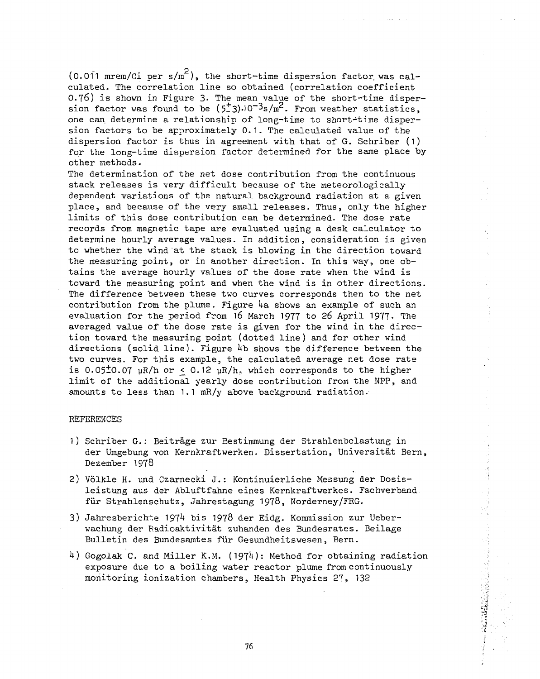(0.011 mrem/Ci per  $s/m^2$ ), the short-time dispersion factor was calculated. The correlation line so obtained (correlation coefficient 0.76) is shown in Figure 3. The mean value of the short-time dispersion factor was found to be  $(5.3) \cdot 10^{-3}$ s/m<sup>2</sup>. From weather statistics, one can. determine a relationship of long-time to short-time dispersion factors to be approximately 0.1. The calculated value of the dispersion factor is thus in agreement with that of G. Schriber (1) for the long-time dispersion factor determined for the same place by other methods.

The determination of the net dose contribution from the continuous stack releases is very difficult because of the meteorologically dependent variations of the natural background radiation at a given place, and because of the very small releases. Thus, only the higher limits of this dose contribution can be determined. The dose rate records from magnetic tape are evaluated using a desk calculator to determine hourly average values. In addition, consideration is given to whether the wind at the stack is blowing in the direction toward the measuring point, or in another direction. In this way, one obtains the average hourly values of the dose rate when the wind is toward the measuring point and when the wind is in other directions. The difference between these two curves corresponds then to the net contribution from the plume. Figure  $4a$  shows an example of such an evaluation for the period from 16 March 1977 to 26 April 1977. The averaged value of the dose rate is given for the wind in the direction toward the measuring point (dotted line) and for other wind directions (solid line). Figure  $4b$  shows the difference between the two curves. For this example, the calculated average net dose rate is 0.05 $\pm$ 0.07 µR/h or < 0.12 µR/h, which corresponds to the higher limit of the additional yearly dose contribution from the NPP, and amounts to less than 1.1 mR/y above background radiation.

## REFERENCES

- 1) Schriber G.: Beitráge zur Bestimmung der Strahlenbelastung in der Umgebung von Kernkraftwerken. Dissertation, Universitát Bern, Dezember 1978
- 2) Volkle H. und Czarnecki J.: Kontinuierliche Messung der Dosisleistung aus der Abluftfahne eines Kernkraftwerkes. Fachverband für Strahlenschutz, Jahrestagung 1978, Norderney/FRG.
- 3) Jahresberichte 1974 bis 1978 der Eidg. Kommission zur Ueberwachung der Radioaktivitát zuhanden des Bundesrates. Beilage Bulletin des Bundesamtes für Gesundheitswesen, Bern.
- 4) Gogolak C. and Miller K.M. (1974): Method for obtaining radiation exposure due to a boiling water reactor plume from continuously monitoring ionization chambers, Health Physics 27, 132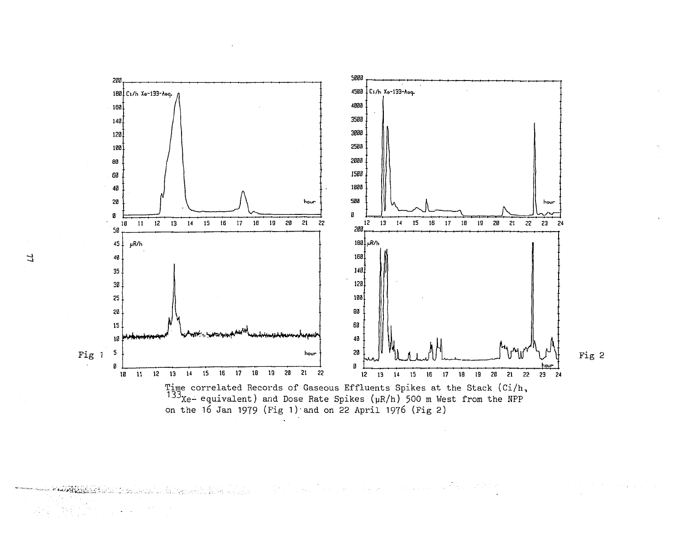

 $\label{eq:2.1} \frac{1}{\sqrt{2}}\sum_{i=1}^n\frac{1}{\sqrt{2}}\sum_{i=1}^n\frac{1}{\sqrt{2}}\sum_{i=1}^n\frac{1}{\sqrt{2}}\sum_{i=1}^n\frac{1}{\sqrt{2}}\sum_{i=1}^n\frac{1}{\sqrt{2}}\sum_{i=1}^n\frac{1}{\sqrt{2}}\sum_{i=1}^n\frac{1}{\sqrt{2}}\sum_{i=1}^n\frac{1}{\sqrt{2}}\sum_{i=1}^n\frac{1}{\sqrt{2}}\sum_{i=1}^n\frac{1}{\sqrt{2}}\sum_{i=1}^n\frac$ AR)

77